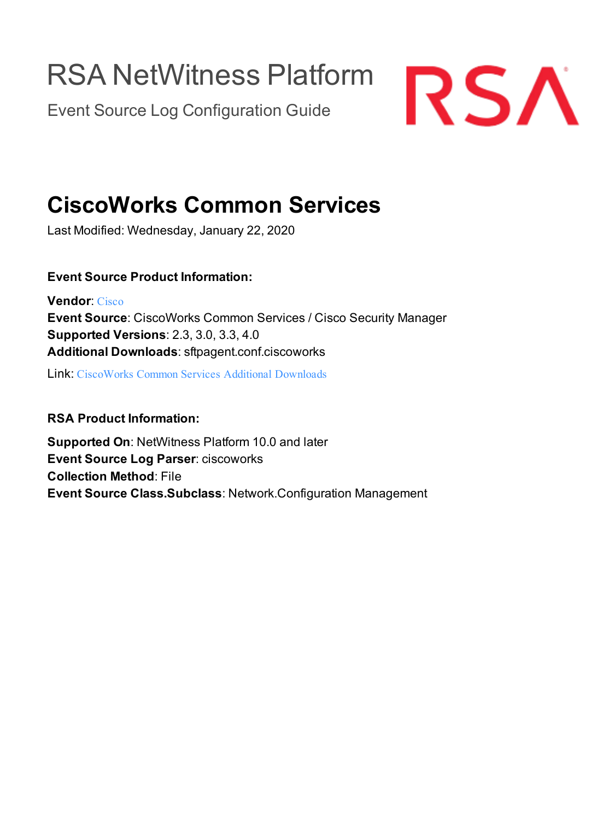# RSA NetWitness Platform

Event Source Log Configuration Guide



## **CiscoWorks Common Services**

Last Modified: Wednesday, January 22, 2020

### **Event Source Product Information:**

**Vendor**: [Cisco](http://www.cisco.com/) **Event Source**: CiscoWorks Common Services / Cisco Security Manager **Supported Versions**: 2.3, 3.0, 3.3, 4.0 **Additional Downloads**: sftpagent.conf.ciscoworks

Link: [CiscoWorks](https://community.rsa.com/docs/DOC-53618) Common Services Additional Downloads

### **RSA Product Information:**

**Supported On**: NetWitness Platform 10.0 and later **Event Source Log Parser**: ciscoworks **Collection Method**: File **Event Source Class.Subclass**: Network.Configuration Management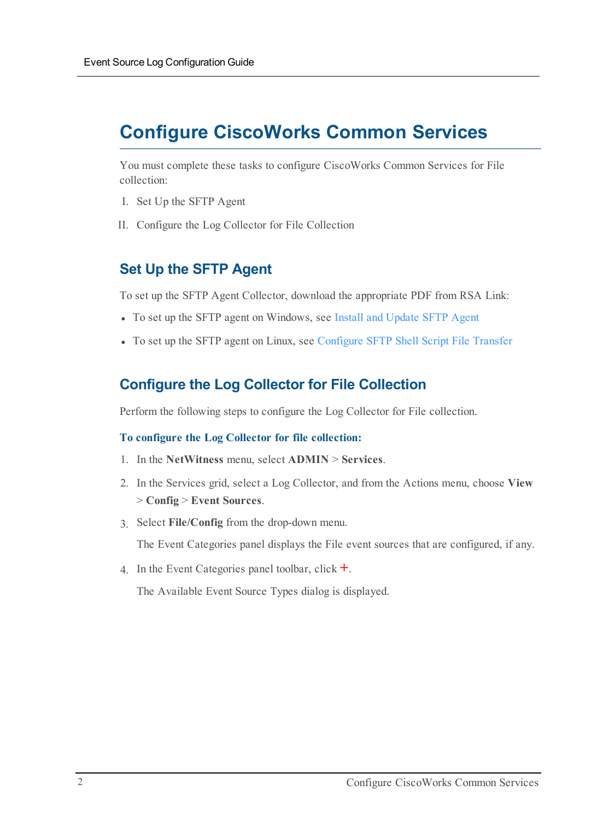### **Configure CiscoWorks Common Services**

You must complete these tasks to configure CiscoWorks Common Services for File collection:

- I. Set Up the SFTP Agent
- II. Configure the Log Collector for File Collection

### **Set Up the SFTP Agent**

To set up the SFTP Agent Collector, download the appropriate PDF from RSA Link:

- To set up the SFTP agent on Windows, see Install and [Update](https://community.rsa.com/docs/DOC-53125) SFTP Agent
- To set up the SFTP agent on Linux, see [Configure](https://community.rsa.com/docs/DOC-53124) SFTP Shell Script File Transfer

### **Configure the Log Collector for File Collection**

Perform the following steps to configure the Log Collector for File collection.

#### **To configure the Log Collector for file collection:**

- 1. In the **NetWitness** menu, select **ADMIN** > **Services**.
- 2. In the Services grid, select a Log Collector, and from the Actions menu, choose **View** > **Config** > **Event Sources**.
- 3. Select **File/Config** from the drop-down menu.

The Event Categories panel displays the File event sources that are configured, if any.

4. In the Event Categories panel toolbar, click **+**.

The Available Event Source Types dialog is displayed.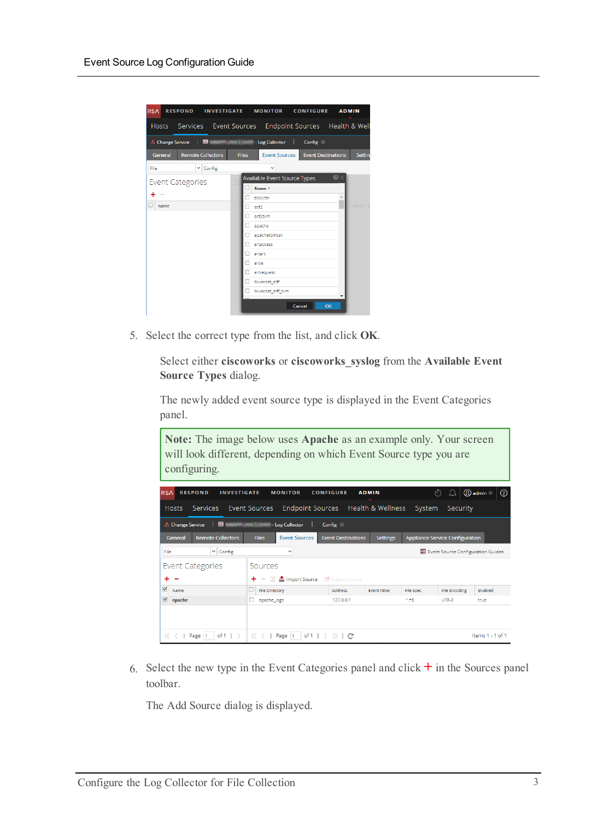| <b>RSA</b><br><b>RESPOND</b>                                | <b>INVESTIGATE</b>       |       | <b>MONITOR CONFIGURE</b>     |                           | <b>ADMIN</b>  |
|-------------------------------------------------------------|--------------------------|-------|------------------------------|---------------------------|---------------|
| Hosts Services Event Sources Endpoint Sources Health & Well |                          |       |                              |                           |               |
| <b>A.</b> Change Service                                    | $\overline{\mathbf{u}}$  | œ     | - Log Collector   Config ©   |                           |               |
| General                                                     | <b>Remote Collectors</b> | Files | Event Sources                | <b>Event Destinations</b> | <b>Settin</b> |
| File                                                        | $\vee$ Config            |       | $\checkmark$                 |                           |               |
| <b>Event Categories</b>                                     |                          |       | Available Event Source Types |                           | $\odot$       |
| -                                                           |                          |       | Name ^<br>accurev            |                           |               |
| Name                                                        |                          | acf2  |                              |                           | Enabled       |
|                                                             |                          |       | acf2tvm                      |                           |               |
|                                                             |                          |       | apache                       |                           |               |
|                                                             |                          |       | apachetomcat                 |                           |               |
|                                                             |                          |       | artaccess<br>artart          |                           |               |
|                                                             |                          |       | artie                        |                           |               |
|                                                             |                          |       | artrequest                   |                           |               |
|                                                             |                          |       | bluecoat elff                |                           |               |
|                                                             |                          |       | bluecoat_elff_tvm            |                           |               |
|                                                             |                          |       |                              | Cancel                    | OK            |

5. Select the correct type from the list, and click **OK**.

Select either **ciscoworks** or **ciscoworks\_syslog** from the **Available Event Source Types** dialog.

The newly added event source type is displayed in the Event Categories panel.

| Note: The image below uses Apache as an example only. Your screen<br>will look different, depending on which Event Source type you are<br>configuring. |                                                 |                           |                     |           |                                        |                                               |
|--------------------------------------------------------------------------------------------------------------------------------------------------------|-------------------------------------------------|---------------------------|---------------------|-----------|----------------------------------------|-----------------------------------------------|
| <b>RESPOND</b><br><b>INVESTIGATE</b><br><b>RSA</b>                                                                                                     | <b>MONITOR</b>                                  | <b>CONFIGURE</b>          | <b>ADMIN</b>        |           | $\odot$                                | $\textcircled{1}$ admin $\odot$<br>$^{\circ}$ |
| <b>Services</b><br><b>Hosts</b>                                                                                                                        | <b>Endpoint Sources</b><br><b>Event Sources</b> |                           | Health & Wellness   | System    | Security                               |                                               |
| <b>LC</b><br><b>E.</b> Change Service                                                                                                                  | - Log Collector<br>œ                            | Config 8                  |                     |           |                                        |                                               |
| <b>Remote Collectors</b><br>General                                                                                                                    | <b>Event Sources</b><br><b>Files</b>            | <b>Event Destinations</b> | <b>Settings</b>     |           | <b>Appliance Service Configuration</b> |                                               |
| $\vee$ Config<br>File                                                                                                                                  | $\checkmark$                                    |                           |                     |           | Event Source Configuration Guides      |                                               |
| Event Categories                                                                                                                                       | Sources                                         |                           |                     |           |                                        |                                               |
|                                                                                                                                                        | $ \mathbb{Z}$ $\triangle$ Import Source<br>÷.   | Export Source             |                     |           |                                        |                                               |
| ✓<br>Name                                                                                                                                              | <b>File Directory</b>                           | <b>Address</b>            | <b>Fvent Filter</b> | File Spec | File Encoding                          | <b>Fnabled</b>                                |
| $\blacktriangledown$<br>apache                                                                                                                         | apache_logs                                     | 127.0.0.1                 |                     | $A + S$   | UTF-8                                  | true                                          |
|                                                                                                                                                        |                                                 |                           |                     |           |                                        |                                               |
| of $1 \mid \mathbb{R}$<br>Page                                                                                                                         | of 1<br>Page                                    |                           |                     |           |                                        | Items $1 - 1$ of $1$                          |

6. Select the new type in the Event Categories panel and  $click + in$  the Sources panel toolbar.

The Add Source dialog is displayed.